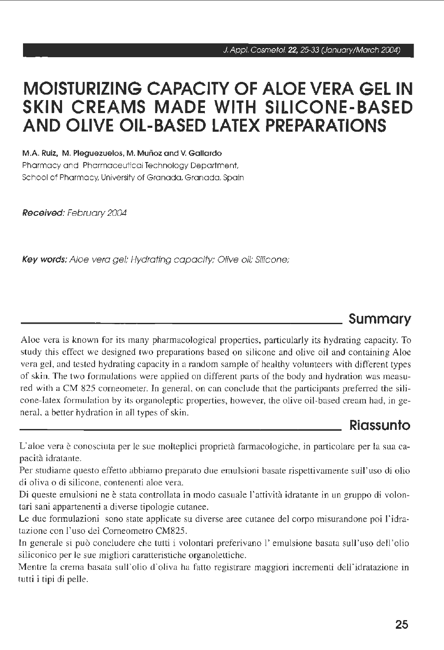# **MOISTURIZING CAPACITY OF ALOE VERA GEL IN SKIN CREAMS MADE WITH SILICONE-BASED ANO OLIVE OIL-BASED LATEX PREPARATIONS**

**M.A. Ruiz, M. Pleguezuelos, M. Murìoz and V. Gallardo**  Pharmacy and Pharmaceutical Technology Department, School of Pharmacy. University of Granada. Granada, Spain

**Received:** February 2004

**Key words:** Aloe vera gel; Hydrating capacity; Olive oil; Silicone:

# **Summary**

Aloe vera is known for its many pharmacological properties, particularly its hydrating capacity. To study this effect we designed two preparations based on silicone and olive oil and containing Aloe vera gel, and tested hydrating capacity in a random sample of healthy volunteers with different types of skin. The two formulations were applied on different parts of the body and hydration was measured with a CM 825 corneometer. In generai, on can conclude that the participants preferred the silicone-latex formulation by its organoleptic properties, however, the olive oil-based cream had, in generai, a better hydration in ali types of skin.

### **Riassunto**

L'aloe vera è conosciuta per le sue molteplici proprietà farmacologiche, in particolare per la sua capacità idratante.

Per studiarne questo effetto abbiamo preparato due emulsioni basate rispettivamente sull'uso di olio di oliva o di silicone, contenenti aloe vera.

Di queste emulsioni ne è stata controllata in modo casuale l'attività idratante in un gruppo di volontari sani appartenenti a diverse tipologie cutanee.

Le due formulazioni sono state applicate su diverse aree cutanee del corpo misurandone poi l'idratazione con l'uso del Comeometro CM825.

In generale si può concludere che tutti i volontari preferivano l'emulsione basata sull'uso dell'olio siliconico per le sue migliori caratteristiche organolettiche.

Mentre la crema basata sull'olio d'oliva ha fatto registrare maggiori incrementi dell'idratazione in tutti i tipi di pelle.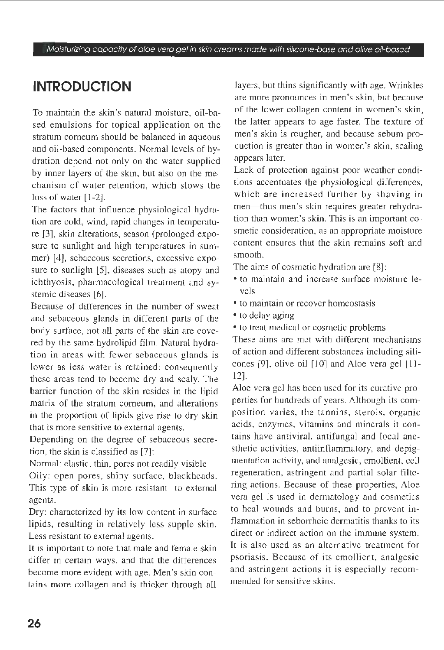# **INTRODUCTION**

To maintain the skin's natural moisture, oil-based emulsions for topical application on the stratum corneum should be balanced in aqueous and oil-based components. Normai levels of hydration depend not only on the water supplied by inner layers of the skin, but also on the mechanism of water retention, which slows the loss of water [1-2].

The factors that influence physiological hydration are cold, wind, rapid changes in temperature [3], skin alterations, season (prolonged exposure to sunlight and high temperatures in summer) [4], sebaceous secretions, excessive exposure to sunlight [5], diseases such as atopy and ichthyosis, pharmacological treatment and systemic diseases [6].

Because of differences in the number of sweat and sebaceous glands in different parts of the body surface, not ali parts of the skin are covered by the same hydrolipid film. Natural hydration in areas with fewer sebaceous glands is lower as less water is retained; consequently these areas tend to become dry and scaly. The barrier function of the skin resides in the lipid matrix of the stratum corneum, and alterations in the proportion of lipids give rise to dry skin that is more sensitive to external agents.

Depending on the degree of sebaceous secretion, the skin is classified as [7]:

Normai: elastic, thin, pores not readily visible Oily: open pores, shiny surface, blackheads. This type of skin is more resistant to external agents.

Dry: characterized by its low content in surface lipids, resulting in relatively less supple skin. Less resistant to extemal agents.

It is important to note that male and female skin differ in certain ways, and that the differences become more evident with age. Men's skin contains more collagen and is thicker through ali

layers, but thins significantly with age. Wrinkles are more pronounces in men's skin, but because of the lower collagen content in women's skin, the latter appears to age faster. The texture of men's skin is rougher, and because sebum production is greater than in women's skin, scaling appears later.

Lack of protection against poor weather conditions accentuates the physiological differences, which are increased further by shaving in men- thus men's skin requires greater rehydration than women's skin. This is an important cosmetic consideration, as an appropriate moisture content ensures that the skin remains soft and smooth.

The aims of cosmetic hydration are [8]:

- to maintain and increase surface moisture levels
- to maintain or recover homeostasis
- to delay aging
- to treat medicai or cosmetic problems

These aims are met with different mechanisms of action and different substances including silicones  $[9]$ , olive oil  $[10]$  and Aloe vera gel  $[11]$ -12].

Aloe vera gel has been used for its curative properties for hundreds of years. Although its composition varies, the tannins, sterols, organic acids, enzymes, vitamins and minerals it contains have antiviral, antifungal and local anesthetic activities, antiinflammatory, and depigmentation activity, and analgesie, emollient, celi regeneration, astringent and partial solar filtering actions. Because of these properties, Aloe vera gel is used in dermatology and cosmetics to heal wounds and burns, and to prevent inflammation in seborrheic dermatitis thanks to its direct or indirect action on the immune system. lt is also used as an alternative treatment for psoriasis. Because of its emollient, analgesie and astringent actions it is especially recommended for sensitive skins.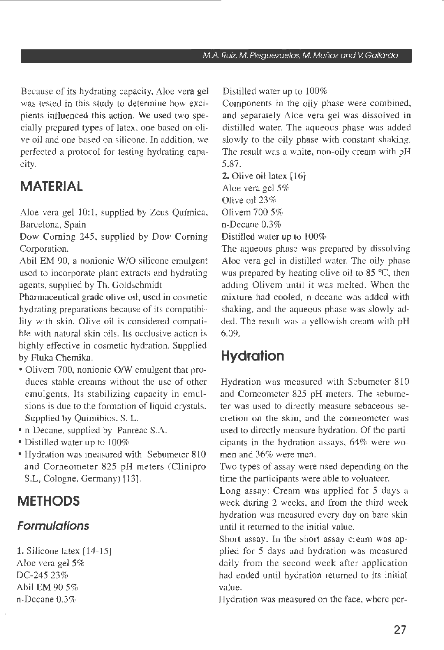Because of its hydrating capacity, Aloe vera gel was tested in this study to determine how excipients influenced this action. We used two specially prepared types of latex, one based on olive oil and one based on silicone. In addition, we perfected a protocol for testing hydrating capacity.

# **MATE RIAL**

Aloe vera gel 10:1, supplied by Zeus Química, Barcelona, Spain

Dow Corning 245, supplied by Dow Corning Corporation.

Abil EM 90, a nonionic W/O silicone emulgent uscd to incorporate plant extracts and hydrating agents, supplied by Th. Goldschmidt

Phannaceutical grade olive oil, used in cosmetic hydrating preparations because of its compatibility with skin. Olive oil is considered compatible with natural skin oils. Its occlusive action is highly effective in cosmetic hydration. Supplied by Fluka Chemika.

- Olivem 700, nonionic O/W emulgent that produces stable creams without the use of other emulgents. Its stabilizing capacity in emulsions is due to the formation of liquid crystals. Supplied by Quimibios, S. L.
- n-Decane, supplied by Panreac S.A.
- Distilled water up to 100%
- Hydration was measured with Sebumeter 810 and Corneometer 825 pH meters (Clinipro S.L, Cologne, Germany) (13].

# **METHODS**

### **Formulations**

1. Silicone latex [ 14-15] Aloe vera gel 5% DC-245 23% Abil EM 90 5% o-Decane 0.3%

Distilled water up to 100%

Components in the oily phase were combined, and separately Aloe vera gel was dissolved in distilled water. The aqueous phase was added slowly to the oily phase with constant shaking. The result was a white, non-oily cream with pH 5.87.

#### 2. Olive oil latex (16]

Aloe vera gel *5%*  Olive oil 23% Olivem 700 5%

o-Decane 0.3%

Distilled water up to 100%

The aqueous phase was prepared by dissolving Aloe vera gel in distilled water. The oily phase was prepared by heating olive oil to 85 °C, then adding Olivem until it was melted. When the mixture had cooled, n-decane was added with shaking, and the aqueous phase was slowly added. The result was a yellowish cream with pH 6.09.

# **Hydration**

Hydration was measured with Sebumeter 810 and Comeometer 825 pH meters. The sebumeter was used to directly measure sebaceous secretion on the skin, and the corneometer was used to directly measure hydration. Of the participants in the hydration assays, 64% were women and 36% were men.

Two types of assay were nsed depending on the time the participants were able to volunteer.

Long assay: Cream was applied for 5 days a week during 2 weeks, and from the third week hydration was measured every day on bare skin until it returned to the initial value.

Short assay: In the short assay cream was applied for 5 days and hydration was measured daily from the second week after application had ended until hydration returned to its initial value.

Hydration was measured on the face, where per-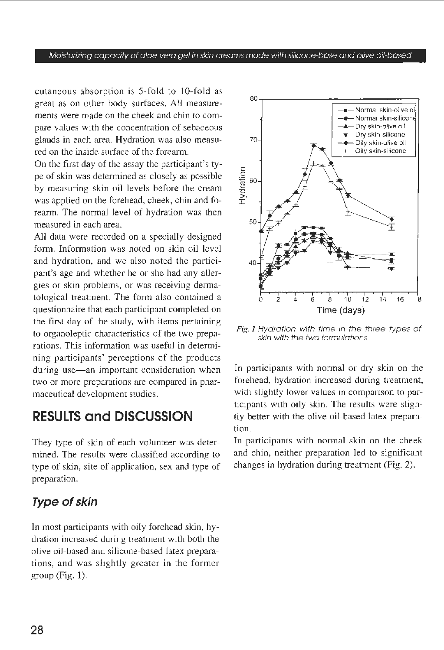#### Moisturizing capacity of aloe vera gel in skin creams made with silicone-base and olive oi/-based

cutaneous absorption is 5-fold to 10-fold as great as on other body surfaces. Ali measurements were made on the cheek and chin to compare values with the concentration of sebaceous glands in each area. Hydration was also measured on the inside surface of the forearm.

On the first day of the assay the participant's type of skin was determined as closely as possible by measuring skin oil Jevels before the cream was applied on the forehead, cheek, chin and forearm. The normal level of hydration was then measured in each area.

Ali data were recorded on a specially designed form. Information was noted on skin oil level and hydration, and we also noted the participant's age and whether he or she had any allergies or skin problems, or was receiving dermatologica! treatment. The form also contained a questionnaire that each participant completed on the first day of the study, with items pertaining to organoleptic characteristics of the two preparations. This information was useful in determining participants' perceptions of the products during use-an important consideration when two or more preparations are compared in pharmaceutical development studies.

# **RESULTS and DISCUSSION**

They type of skin of each volunteer was determined. The results were classified according to type of skin, site of application, sex and type of preparation.

### **Type of skin**

In most participants with oily forehead skin, hydration increased during treatment with both the olive oil-based and silicone-based latex preparations, and was slightly greater in the former group (Fig. 1).



Fig. I Hydration with time in the three types of skin with the two formulations

In participants with normai or dry skin on the forehead, hydration increased during treatment, with slightly lower values in comparison to participants with oily skin. The results were slightly better with the olive oil-based latex preparation.

In participants with normai skin on the cheek and chin, neither preparation led to significant changes in hydration during treatment (Fig. 2).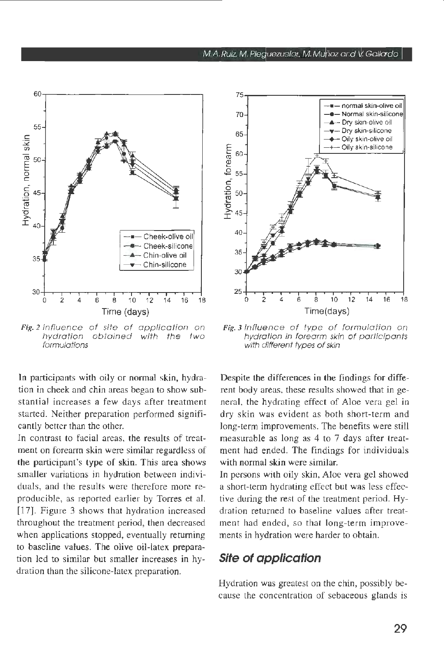

Fig. 2 Influence of site of application on hydration obtained with the two formu/ations

In participants with oily or normai skin, hydration in cheek and chin areas began to show substantial increases a few days after treatment started. Neither preparation performed significantly better than the other.

In contrast to facial areas, the results of treatment on forearm skin were similar regardless of the participant's type of skin. This area shows smaller variations in hydration between individuals, and the results were therefore more reproducible, as reported earlier by Torres et al. [17]. Figure 3 shows that hydration increased throughout the treatment period, then decreased when applications stopped, eventually returning to baseline values. The olive oil-latex preparation led to similar but smaller increases in hydration than the silicone-latex preparation.



Fig. 3 lnfluence of type of formulation on hydration in forearm skin of participants with different types of skin

Despite the differences in the findings for different body areas, these results showed that in generai, the hydrating effect of Aloe vera gel in dry skin was evident as both short-term and long-term improvements. The benefits were stili measurable as long as 4 to 7 days after treatment had ended. The findings for individuals with normal skin were similar.

In persons with oily skin, Aloe vera gel showed a short-term hydrating effect but was less effective during the rest of the treatment period. Hydration returned to baseline values after treatment had ended, so that long-term ìmprovements in hydration were harder to obtain.

### **Site of application**

Hydration was greatest on the chin, possibly because the concentratìon of sebaceous glands is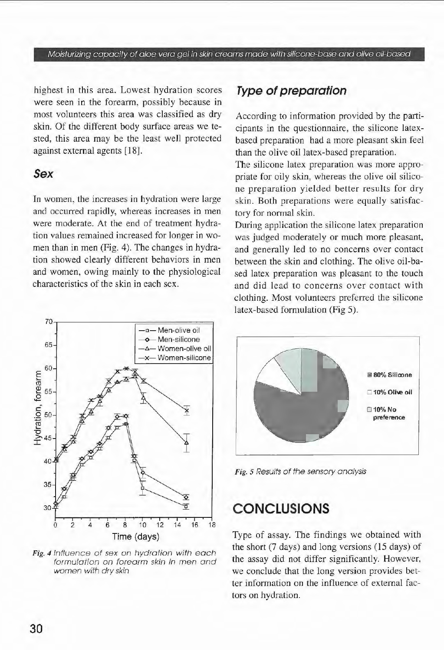#### Moisturizing capacity of aloe vera gel in skin creams made with silicone-base and olive oi/-based

highest in this area. Lowest hydration scores were seen in the forearm, possibly because in most volunteers this area was classified as dry skin. Of the different body surface areas we tested, this area may be the least well protected against external agents [18).

### *Sex*

In women, the increases in hydration were large and occurred rapidly, whereas increases in men were moderate. At the end of treatment hydration values remained increased for longer in women than in men (Fig. 4). The changes in hydration showed clearly different behaviors in men and women, owing mainly to the physiological characteristics of the skin in each sex.

### **Type of preparafion**

According to information provided by the participants in the questionnaire, the silicone latexbased preparation had a more pleasant skin feel than the olive oil Iatex-based preparation.

The silicone latex preparation was more appropriate for oily skin, whereas the olive oil silicone preparation yielded better results for dry skin. Both preparations were equally satisfactory for normai skin.

During application the silicone latex preparation was judged moderately or much more pleasant. and generally led to no concerns over contact between the skin and clothing. The olive oil-based latex preparation was pleasant to the touch and did lead to concerns over contact with clothing. Most volunteers preferred the silicone latex-based formulation (Fig 5).



Fig. 4 lnfluence of sex on hydration with each formulation on forearm skin in men ond women with dry skin



Fig. 5 Results of the sensory analysis

### **CONCLUSIONS**

Type of assay. The findings we obtained with the short (7 days) and long versions (15 days) of the assay did not differ significantly. However, we conclude that the long version provides better information on the influence of external factors on hydration.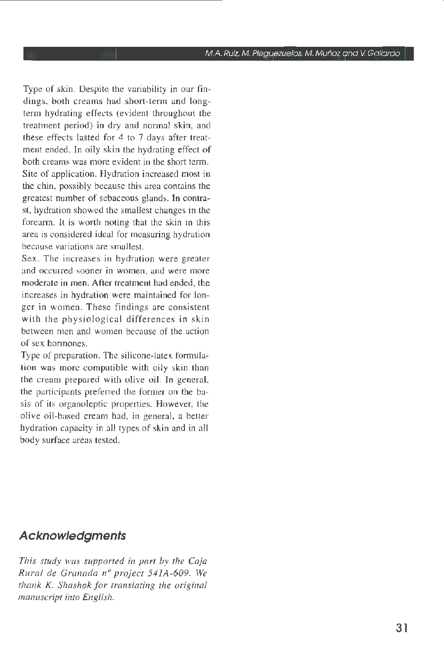Type of skin. Despite the variability in our findings, both creams had short-term and longterm hydrating effects (evident throughout the treatment period) in dry and normai skin, and these effects lasted for 4 to 7 days after treatment ended. In oily skin the hydrating effect of both creams was more evident in the short term. Site of application. Hydration increased most in the chin, possibly because this area contains the greatest number of sebaceous glands. In contrast, hydration showed the smallest changes in the forearm. It is worth noting that thc skin in this area is considered ideai for measuring hydration because variations are smallest.

Sex. The increases in hydration were greater and occurred sooner in women, and were more moderate in men. After treatment had ended, the increases in hydration were maintained for longer in women. These findings are consistent with the physiological differences in skin between men and women because of the action of sex hormones.

Type of preparation. The silicone-latex formulation was more compatible with oily skin than the cream prepared with olive oil. In generai, the participants preferred the former on the basis of its organoleptic properties. However, the olive oil-based cream had, in generai, a better hydration capacity in alI types of skin and in al! body surface areas tested.

### **Acknowledgments**

*This study was s11pported in part* by *rhe Caja Rural de Granada n° project 541A-609. We thank K. Shashok for translating the originai manuscript into English.*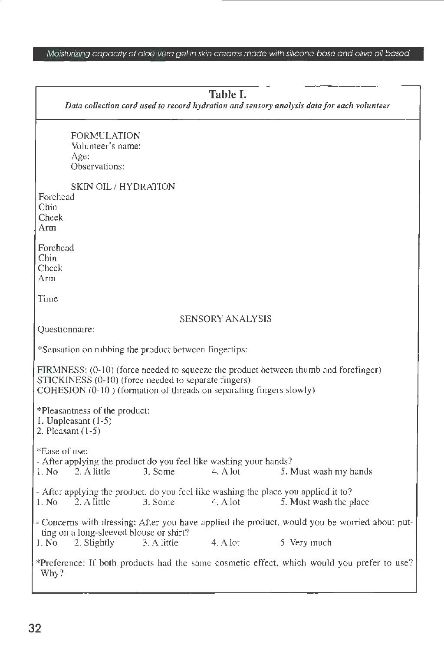### Moisturizing copocity of aloe vero gel in skin creoms mode with silicone-base ond olive oil-bosed

| Table I.<br>Data collection card used to record hydration and sensory analysis data for each volunteer                                                                                                             |
|--------------------------------------------------------------------------------------------------------------------------------------------------------------------------------------------------------------------|
| <b>FORMULATION</b><br>Volunteer's name:<br>Age:<br>Observations:                                                                                                                                                   |
| SKIN OIL/HYDRATION<br>Forehead<br>Chin<br>Cheek<br>Arm                                                                                                                                                             |
| Forehead<br>Chin<br>Cheek<br>Аrm                                                                                                                                                                                   |
| Time                                                                                                                                                                                                               |
| SENSORY ANALYSIS<br>Questionnaire:                                                                                                                                                                                 |
| *Sensation on rubbing the product between fingertips:                                                                                                                                                              |
| FIRMNESS: (0-10) (force needed to squeeze the product between thumb and forefinger)<br>STICKINESS (0-10) (force needed to separate fingers)<br>COHESION (0-10) (formation of threads on separating fingers slowly) |
| *Pleasantness of the product:<br>1. Unpleasant $(1-5)$<br>2. Pleasant $(1-5)$                                                                                                                                      |
| *Ease of use:<br>- After applying the product do you feel like washing your hands?<br>$-2.$ A little<br>1. No<br>3. Some<br>4. A lot<br>5. Must wash my hands                                                      |
| - After applying the product, do you feel like washing the place you applied it to?<br>1. No<br>2. A little<br>3. Some<br>4. A lot<br>5. Must wash the place                                                       |
| - Concerns with dressing: After you have applied the product, would you be worried about put-<br>ting on a long-sleeved blouse or shirt?<br>1. No<br>3. A little<br>4. A lot<br>5. Very much<br>2. Slightly        |
| *Preference: If both products had the same cosmetic effect, which would you prefer to use?<br>Why?                                                                                                                 |